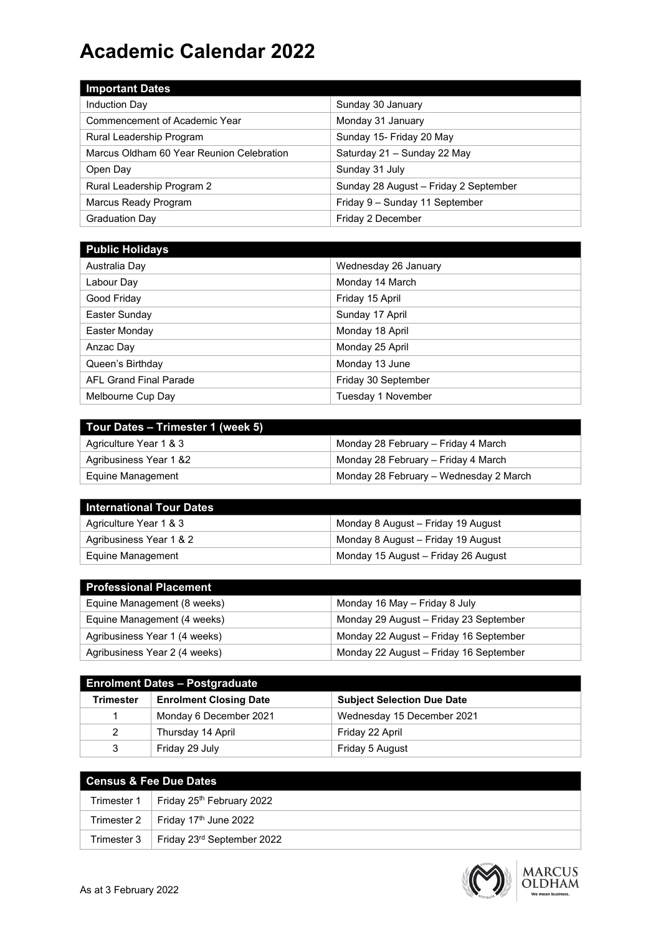## **Academic Calendar 2022**

| <b>Important Dates</b>                    |                                       |
|-------------------------------------------|---------------------------------------|
| <b>Induction Day</b>                      | Sunday 30 January                     |
| Commencement of Academic Year             | Monday 31 January                     |
| Rural Leadership Program                  | Sunday 15- Friday 20 May              |
| Marcus Oldham 60 Year Reunion Celebration | Saturday 21 - Sunday 22 May           |
| Open Day                                  | Sunday 31 July                        |
| Rural Leadership Program 2                | Sunday 28 August - Friday 2 September |
| Marcus Ready Program                      | Friday 9 - Sunday 11 September        |
| <b>Graduation Day</b>                     | Friday 2 December                     |

| <b>Public Holidays</b>        |                      |
|-------------------------------|----------------------|
| Australia Day                 | Wednesday 26 January |
| Labour Day                    | Monday 14 March      |
| Good Friday                   | Friday 15 April      |
| Easter Sunday                 | Sunday 17 April      |
| Easter Monday                 | Monday 18 April      |
| Anzac Day                     | Monday 25 April      |
| Queen's Birthday              | Monday 13 June       |
| <b>AFL Grand Final Parade</b> | Friday 30 September  |
| Melbourne Cup Day             | Tuesday 1 November   |

| Tour Dates - Trimester 1 (week 5) |                                        |
|-----------------------------------|----------------------------------------|
| Agriculture Year 1 & 3            | Monday 28 February - Friday 4 March    |
| Agribusiness Year 1 &2            | Monday 28 February – Friday 4 March    |
| Equine Management                 | Monday 28 February - Wednesday 2 March |

| I International Tour Dates |                                     |
|----------------------------|-------------------------------------|
| Agriculture Year 1 & 3     | Monday 8 August - Friday 19 August  |
| Agribusiness Year 1 & 2    | Monday 8 August – Friday 19 August  |
| Equine Management          | Monday 15 August - Friday 26 August |

| <b>Professional Placement</b> |                                        |
|-------------------------------|----------------------------------------|
| Equine Management (8 weeks)   | Monday 16 May - Friday 8 July          |
| Equine Management (4 weeks)   | Monday 29 August - Friday 23 September |
| Agribusiness Year 1 (4 weeks) | Monday 22 August - Friday 16 September |
| Agribusiness Year 2 (4 weeks) | Monday 22 August - Friday 16 September |

| <b>Enrolment Dates - Postgraduate</b> |                               |                                   |  |  |  |
|---------------------------------------|-------------------------------|-----------------------------------|--|--|--|
| Trimester                             | <b>Enrolment Closing Date</b> | <b>Subject Selection Due Date</b> |  |  |  |
|                                       | Monday 6 December 2021        | Wednesday 15 December 2021        |  |  |  |
|                                       | Thursday 14 April             | Friday 22 April                   |  |  |  |
| 3                                     | Friday 29 July                | Friday 5 August                   |  |  |  |

| l Census & Fee Due Dates                               |  |  |  |  |
|--------------------------------------------------------|--|--|--|--|
| Trimester 1   Friday 25 <sup>th</sup> February 2022    |  |  |  |  |
| Trimester 2   Friday $17th$ June 2022                  |  |  |  |  |
| Trimester $3$   Friday 23 <sup>rd</sup> September 2022 |  |  |  |  |



MARCUS<br>OLDHAM